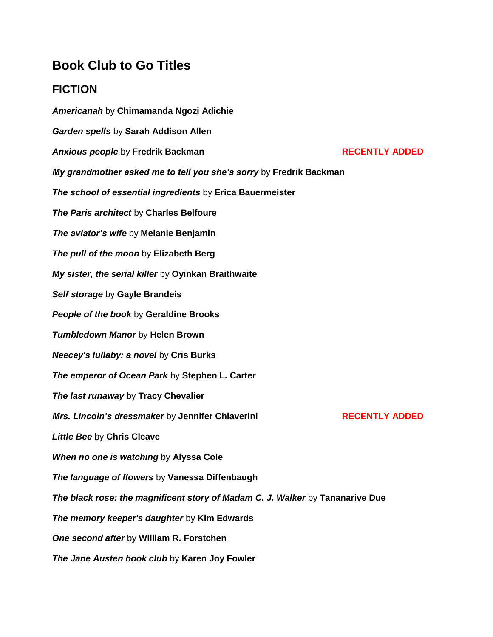## **Book Club to Go Titles**

## **FICTION**

*Americanah* by **Chimamanda Ngozi Adichie** *Garden spells* by **Sarah Addison Allen**  *Anxious people* **by Fredrik Backman <b>RECENTLY ADDED** *My grandmother asked me to tell you she's sorry* by **Fredrik Backman**  *The school of essential ingredients* by **Erica Bauermeister**  *The Paris architect* by **Charles Belfoure**  *The aviator's wife* by **Melanie Benjamin**  *The pull of the moon* by **Elizabeth Berg**  *My sister, the serial killer* by **Oyinkan Braithwaite** *Self storage* by **Gayle Brandeis**  *People of the book* by **Geraldine Brooks**  *Tumbledown Manor* by **Helen Brown**  *Neecey's lullaby: a novel* by **Cris Burks**  *The emperor of Ocean Park* by **Stephen L. Carter**  *The last runaway* by **Tracy Chevalier Mrs. Lincoln's dressmaker** by Jennifer Chiaverini **RECENTLY ADDED** *Little Bee* by **Chris Cleave**  *When no one is watching* by **Alyssa Cole** *The language of flowers* by **Vanessa Diffenbaugh** *The black rose: the magnificent story of Madam C. J. Walker* by **Tananarive Due**  *The memory keeper's daughter* by **Kim Edwards**  *One second after* by **William R. Forstchen**  *The Jane Austen book club* by **Karen Joy Fowler**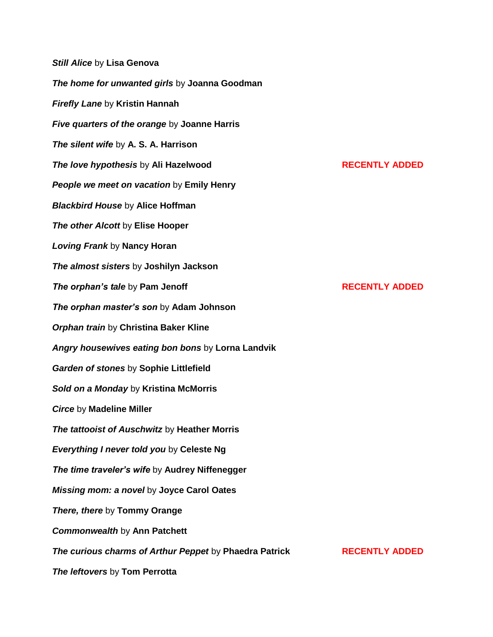*Still Alice* by **Lisa Genova**  *The home for unwanted girls* by **Joanna Goodman**  *Firefly Lane* by **Kristin Hannah** *Five quarters of the orange* by **Joanne Harris**  *The silent wife* by **A. S. A. Harrison**  *The love hypothesis by Ali Hazelwood* **RECENTLY ADDED** *People we meet on vacation* by **Emily Henry** *Blackbird House* by **Alice Hoffman**  *The other Alcott* by **Elise Hooper**  *Loving Frank* by **Nancy Horan**  *The almost sisters* by **Joshilyn Jackson**  *The orphan's tale by Pam Jenoff* **<b>RECENTLY ADDED** *The orphan master's son* by **Adam Johnson** *Orphan train* by **Christina Baker Kline** *Angry housewives eating bon bons* by **Lorna Landvik**  *Garden of stones* by **Sophie Littlefield** *Sold on a Monday* by **Kristina McMorris** *Circe* by **Madeline Miller** *The tattooist of Auschwitz* by **Heather Morris** *Everything I never told you* by **Celeste Ng**  *The time traveler's wife* by **Audrey Niffenegger**  *Missing mom: a novel* by **Joyce Carol Oates**  *There, there* by **Tommy Orange** *Commonwealth* by **Ann Patchett**  *The curious charms of Arthur Peppet* **by Phaedra Patrick <b>RECENTLY ADDED** *The leftovers* by **Tom Perrotta**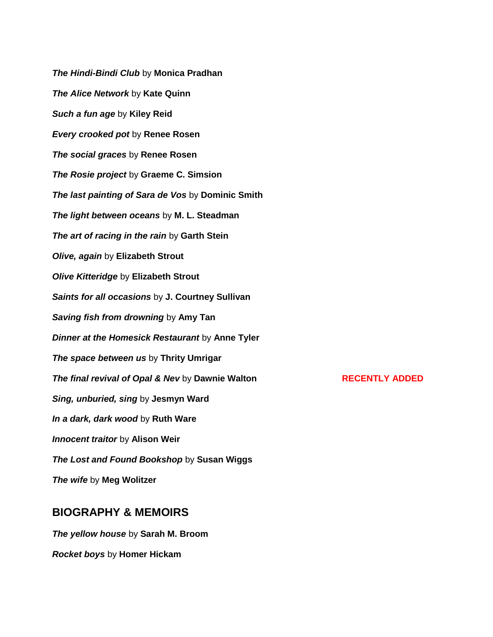*The Hindi-Bindi Club* by **Monica Pradhan**  *The Alice Network* by **Kate Quinn**  *Such a fun age* by **Kiley Reid** *Every crooked pot* by **Renee Rosen**  *The social graces* by **Renee Rosen** *The Rosie project* by **Graeme C. Simsion**  *The last painting of Sara de Vos* by **Dominic Smith** *The light between oceans* by **M. L. Steadman** *The art of racing in the rain* by **Garth Stein**  *Olive, again* by **Elizabeth Strout** *Olive Kitteridge* by **Elizabeth Strout**  *Saints for all occasions* by **J. Courtney Sullivan**  *Saving fish from drowning* by **Amy Tan**  *Dinner at the Homesick Restaurant* by **Anne Tyler**  *The space between us* by **Thrity Umrigar**  *The final revival of Opal & Nev* **by Dawnie Walton <b>RECENTLY ADDED** *Sing, unburied, sing* by **Jesmyn Ward**  *In a dark, dark wood* by **Ruth Ware**  *Innocent traitor* by **Alison Weir**  *The Lost and Found Bookshop* by **Susan Wiggs** *The wife* by **Meg Wolitzer**

## **BIOGRAPHY & MEMOIRS**

*The yellow house* by **Sarah M. Broom** *Rocket boys* by **Homer Hickam**